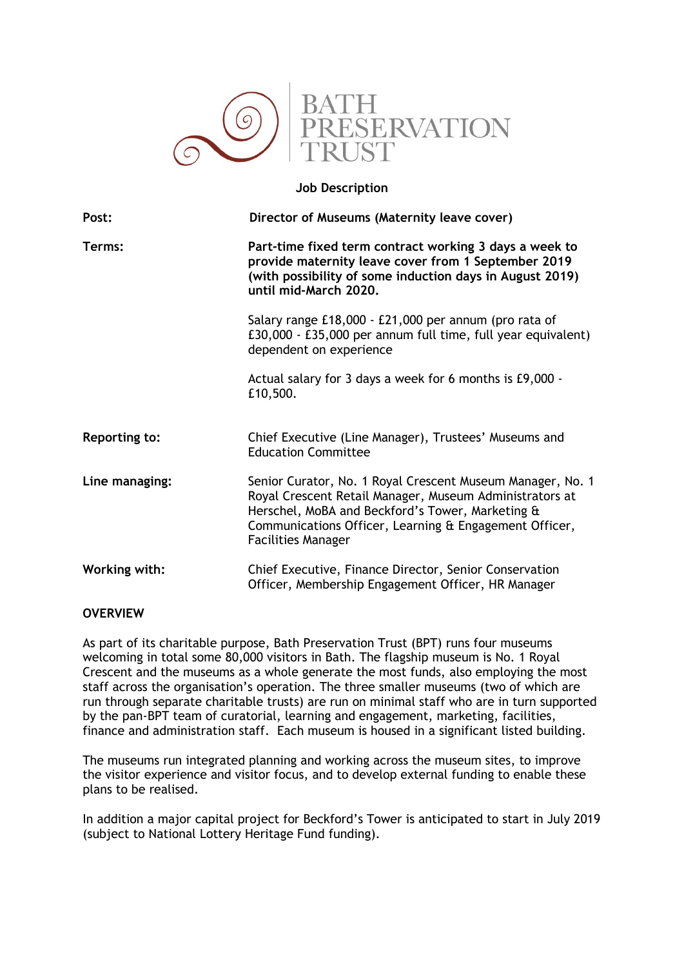

### **Job Description**

| Post:                | Director of Museums (Maternity leave cover)                                                                                                                                                                                                                      |
|----------------------|------------------------------------------------------------------------------------------------------------------------------------------------------------------------------------------------------------------------------------------------------------------|
| Terms:               | Part-time fixed term contract working 3 days a week to<br>provide maternity leave cover from 1 September 2019<br>(with possibility of some induction days in August 2019)<br>until mid-March 2020.                                                               |
|                      | Salary range £18,000 - £21,000 per annum (pro rata of<br>£30,000 - £35,000 per annum full time, full year equivalent)<br>dependent on experience                                                                                                                 |
|                      | Actual salary for 3 days a week for 6 months is £9,000 -<br>£10,500.                                                                                                                                                                                             |
| <b>Reporting to:</b> | Chief Executive (Line Manager), Trustees' Museums and<br><b>Education Committee</b>                                                                                                                                                                              |
| Line managing:       | Senior Curator, No. 1 Royal Crescent Museum Manager, No. 1<br>Royal Crescent Retail Manager, Museum Administrators at<br>Herschel, MoBA and Beckford's Tower, Marketing &<br>Communications Officer, Learning & Engagement Officer,<br><b>Facilities Manager</b> |
| Working with:        | Chief Executive, Finance Director, Senior Conservation<br>Officer, Membership Engagement Officer, HR Manager                                                                                                                                                     |

# **OVERVIEW**

As part of its charitable purpose, Bath Preservation Trust (BPT) runs four museums welcoming in total some 80,000 visitors in Bath. The flagship museum is No. 1 Royal Crescent and the museums as a whole generate the most funds, also employing the most staff across the organisation's operation. The three smaller museums (two of which are run through separate charitable trusts) are run on minimal staff who are in turn supported by the pan-BPT team of curatorial, learning and engagement, marketing, facilities, finance and administration staff. Each museum is housed in a significant listed building.

The museums run integrated planning and working across the museum sites, to improve the visitor experience and visitor focus, and to develop external funding to enable these plans to be realised.

In addition a major capital project for Beckford's Tower is anticipated to start in July 2019 (subject to National Lottery Heritage Fund funding).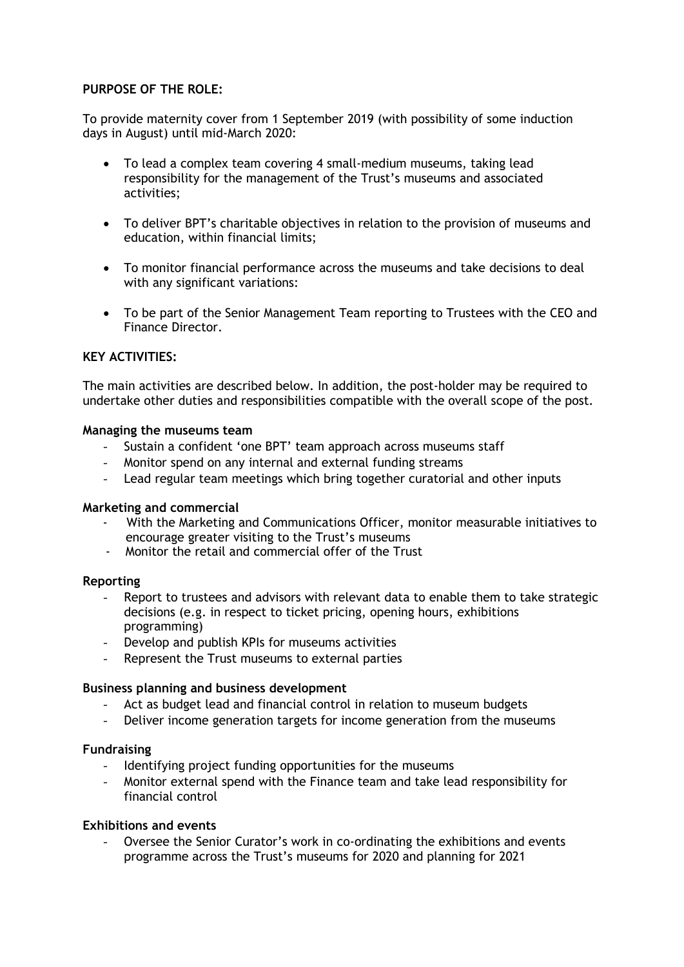# **PURPOSE OF THE ROLE:**

To provide maternity cover from 1 September 2019 (with possibility of some induction days in August) until mid-March 2020:

- To lead a complex team covering 4 small-medium museums, taking lead responsibility for the management of the Trust's museums and associated activities;
- To deliver BPT's charitable objectives in relation to the provision of museums and education, within financial limits;
- To monitor financial performance across the museums and take decisions to deal with any significant variations:
- To be part of the Senior Management Team reporting to Trustees with the CEO and Finance Director.

# **KEY ACTIVITIES:**

The main activities are described below. In addition, the post-holder may be required to undertake other duties and responsibilities compatible with the overall scope of the post.

### **Managing the museums team**

- Sustain a confident 'one BPT' team approach across museums staff
- Monitor spend on any internal and external funding streams
- Lead regular team meetings which bring together curatorial and other inputs

### **Marketing and commercial**

- With the Marketing and Communications Officer, monitor measurable initiatives to encourage greater visiting to the Trust's museums
- Monitor the retail and commercial offer of the Trust

### **Reporting**

- Report to trustees and advisors with relevant data to enable them to take strategic decisions (e.g. in respect to ticket pricing, opening hours, exhibitions programming)
- Develop and publish KPIs for museums activities
- Represent the Trust museums to external parties

### **Business planning and business development**

- Act as budget lead and financial control in relation to museum budgets
- Deliver income generation targets for income generation from the museums

### **Fundraising**

- Identifying project funding opportunities for the museums
- Monitor external spend with the Finance team and take lead responsibility for financial control

## **Exhibitions and events**

Oversee the Senior Curator's work in co-ordinating the exhibitions and events programme across the Trust's museums for 2020 and planning for 2021